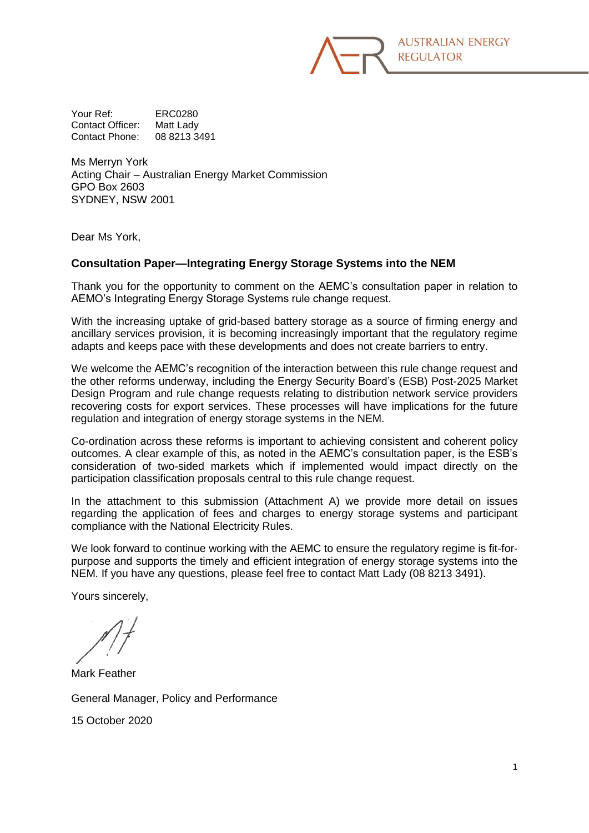

Your Ref: ERC0280 Contact Officer: Matt Lady Contact Phone: 08 8213 3491

Ms Merryn York Acting Chair – Australian Energy Market Commission GPO Box 2603 SYDNEY, NSW 2001

Dear Ms York,

## **Consultation Paper—Integrating Energy Storage Systems into the NEM**

Thank you for the opportunity to comment on the AEMC's consultation paper in relation to AEMO's Integrating Energy Storage Systems rule change request.

With the increasing uptake of grid-based battery storage as a source of firming energy and ancillary services provision, it is becoming increasingly important that the regulatory regime adapts and keeps pace with these developments and does not create barriers to entry.

We welcome the AEMC's recognition of the interaction between this rule change request and the other reforms underway, including the Energy Security Board's (ESB) Post-2025 Market Design Program and rule change requests relating to distribution network service providers recovering costs for export services. These processes will have implications for the future regulation and integration of energy storage systems in the NEM.

Co-ordination across these reforms is important to achieving consistent and coherent policy outcomes. A clear example of this, as noted in the AEMC's consultation paper, is the ESB's consideration of two-sided markets which if implemented would impact directly on the participation classification proposals central to this rule change request.

In the attachment to this submission (Attachment A) we provide more detail on issues regarding the application of fees and charges to energy storage systems and participant compliance with the National Electricity Rules.

We look forward to continue working with the AEMC to ensure the regulatory regime is fit-forpurpose and supports the timely and efficient integration of energy storage systems into the NEM. If you have any questions, please feel free to contact Matt Lady (08 8213 3491).

Yours sincerely,

Mark Feather

General Manager, Policy and Performance

15 October 2020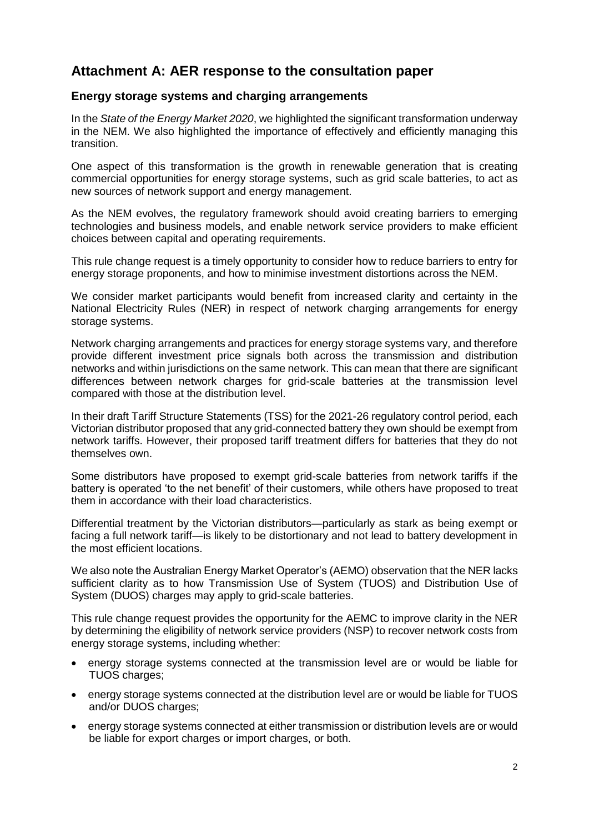# **Attachment A: AER response to the consultation paper**

# **Energy storage systems and charging arrangements**

In the *State of the Energy Market 2020*, we highlighted the significant transformation underway in the NEM. We also highlighted the importance of effectively and efficiently managing this transition.

One aspect of this transformation is the growth in renewable generation that is creating commercial opportunities for energy storage systems, such as grid scale batteries, to act as new sources of network support and energy management.

As the NEM evolves, the regulatory framework should avoid creating barriers to emerging technologies and business models, and enable network service providers to make efficient choices between capital and operating requirements.

This rule change request is a timely opportunity to consider how to reduce barriers to entry for energy storage proponents, and how to minimise investment distortions across the NEM.

We consider market participants would benefit from increased clarity and certainty in the National Electricity Rules (NER) in respect of network charging arrangements for energy storage systems.

Network charging arrangements and practices for energy storage systems vary, and therefore provide different investment price signals both across the transmission and distribution networks and within jurisdictions on the same network. This can mean that there are significant differences between network charges for grid-scale batteries at the transmission level compared with those at the distribution level.

In their draft Tariff Structure Statements (TSS) for the 2021-26 regulatory control period, each Victorian distributor proposed that any grid-connected battery they own should be exempt from network tariffs. However, their proposed tariff treatment differs for batteries that they do not themselves own.

Some distributors have proposed to exempt grid-scale batteries from network tariffs if the battery is operated 'to the net benefit' of their customers, while others have proposed to treat them in accordance with their load characteristics.

Differential treatment by the Victorian distributors—particularly as stark as being exempt or facing a full network tariff—is likely to be distortionary and not lead to battery development in the most efficient locations.

We also note the Australian Energy Market Operator's (AEMO) observation that the NER lacks sufficient clarity as to how Transmission Use of System (TUOS) and Distribution Use of System (DUOS) charges may apply to grid-scale batteries.

This rule change request provides the opportunity for the AEMC to improve clarity in the NER by determining the eligibility of network service providers (NSP) to recover network costs from energy storage systems, including whether:

- energy storage systems connected at the transmission level are or would be liable for TUOS charges;
- energy storage systems connected at the distribution level are or would be liable for TUOS and/or DUOS charges;
- energy storage systems connected at either transmission or distribution levels are or would be liable for export charges or import charges, or both.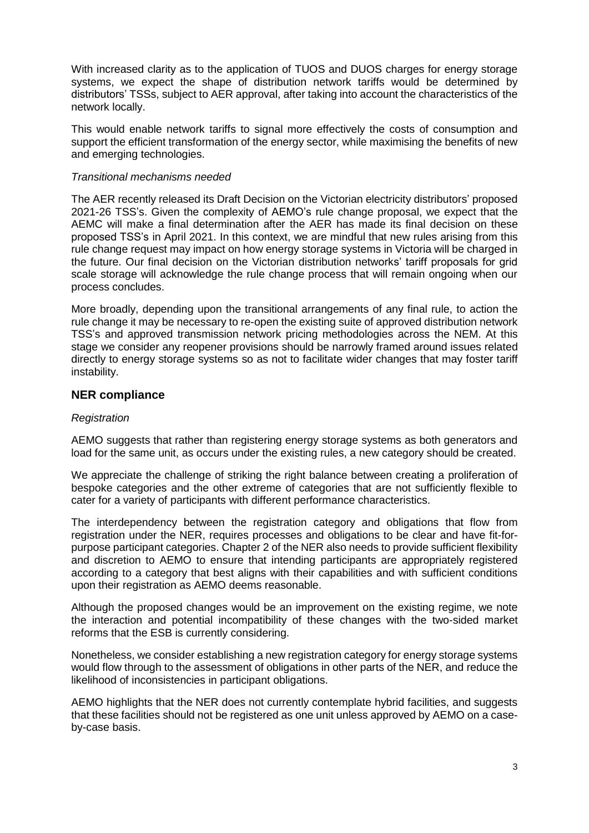With increased clarity as to the application of TUOS and DUOS charges for energy storage systems, we expect the shape of distribution network tariffs would be determined by distributors' TSSs, subject to AER approval, after taking into account the characteristics of the network locally.

This would enable network tariffs to signal more effectively the costs of consumption and support the efficient transformation of the energy sector, while maximising the benefits of new and emerging technologies.

### *Transitional mechanisms needed*

The AER recently released its Draft Decision on the Victorian electricity distributors' proposed 2021-26 TSS's. Given the complexity of AEMO's rule change proposal, we expect that the AEMC will make a final determination after the AER has made its final decision on these proposed TSS's in April 2021. In this context, we are mindful that new rules arising from this rule change request may impact on how energy storage systems in Victoria will be charged in the future. Our final decision on the Victorian distribution networks' tariff proposals for grid scale storage will acknowledge the rule change process that will remain ongoing when our process concludes.

More broadly, depending upon the transitional arrangements of any final rule, to action the rule change it may be necessary to re-open the existing suite of approved distribution network TSS's and approved transmission network pricing methodologies across the NEM. At this stage we consider any reopener provisions should be narrowly framed around issues related directly to energy storage systems so as not to facilitate wider changes that may foster tariff instability.

## **NER compliance**

## *Registration*

AEMO suggests that rather than registering energy storage systems as both generators and load for the same unit, as occurs under the existing rules, a new category should be created.

We appreciate the challenge of striking the right balance between creating a proliferation of bespoke categories and the other extreme of categories that are not sufficiently flexible to cater for a variety of participants with different performance characteristics.

The interdependency between the registration category and obligations that flow from registration under the NER, requires processes and obligations to be clear and have fit-forpurpose participant categories. Chapter 2 of the NER also needs to provide sufficient flexibility and discretion to AEMO to ensure that intending participants are appropriately registered according to a category that best aligns with their capabilities and with sufficient conditions upon their registration as AEMO deems reasonable.

Although the proposed changes would be an improvement on the existing regime, we note the interaction and potential incompatibility of these changes with the two-sided market reforms that the ESB is currently considering.

Nonetheless, we consider establishing a new registration category for energy storage systems would flow through to the assessment of obligations in other parts of the NER, and reduce the likelihood of inconsistencies in participant obligations.

AEMO highlights that the NER does not currently contemplate hybrid facilities, and suggests that these facilities should not be registered as one unit unless approved by AEMO on a caseby-case basis.